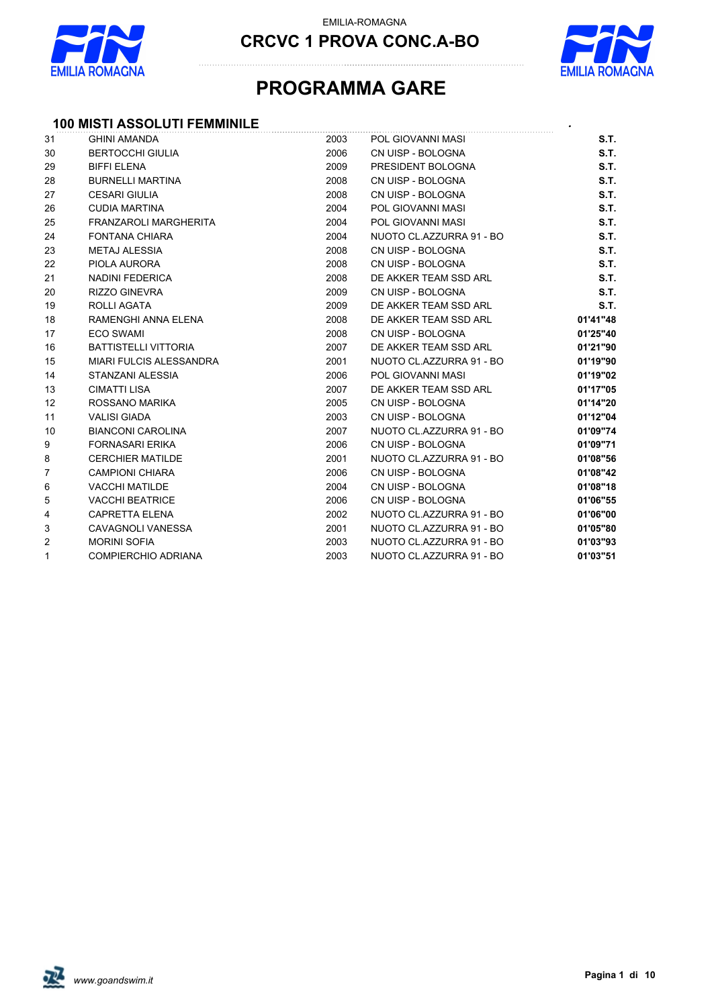



### **PROGRAMMA GARE**

#### **100 MISTI ASSOLUTI FEMMINILE** *.*

| 31             | <b>GHINI AMANDA</b>          | 2003 | POL GIOVANNI MASI        | S.T.     |
|----------------|------------------------------|------|--------------------------|----------|
| 30             | <b>BERTOCCHI GIULIA</b>      | 2006 | CN UISP - BOLOGNA        | S.T.     |
| 29             | <b>BIFFI ELENA</b>           | 2009 | PRESIDENT BOLOGNA        | S.T.     |
| 28             | <b>BURNELLI MARTINA</b>      | 2008 | CN UISP - BOLOGNA        | S.T.     |
| 27             | <b>CESARI GIULIA</b>         | 2008 | CN UISP - BOLOGNA        | S.T.     |
| 26             | <b>CUDIA MARTINA</b>         | 2004 | POL GIOVANNI MASI        | S.T.     |
| 25             | <b>FRANZAROLI MARGHERITA</b> | 2004 | POL GIOVANNI MASI        | S.T.     |
| 24             | <b>FONTANA CHIARA</b>        | 2004 | NUOTO CL.AZZURRA 91 - BO | S.T.     |
| 23             | <b>METAJ ALESSIA</b>         | 2008 | CN UISP - BOLOGNA        | S.T.     |
| 22             | PIOLA AURORA                 | 2008 | CN UISP - BOLOGNA        | S.T.     |
| 21             | NADINI FEDERICA              | 2008 | DE AKKER TEAM SSD ARL    | S.T.     |
| 20             | <b>RIZZO GINEVRA</b>         | 2009 | CN UISP - BOLOGNA        | S.T.     |
| 19             | ROLLI AGATA                  | 2009 | DE AKKER TEAM SSD ARL    | S.T.     |
| 18             | RAMENGHI ANNA ELENA          | 2008 | DE AKKER TEAM SSD ARL    | 01'41"48 |
| 17             | <b>ECO SWAMI</b>             | 2008 | CN UISP - BOLOGNA        | 01'25"40 |
| 16             | <b>BATTISTELLI VITTORIA</b>  | 2007 | DE AKKER TEAM SSD ARL    | 01'21"90 |
| 15             | MIARI FULCIS ALESSANDRA      | 2001 | NUOTO CL.AZZURRA 91 - BO | 01'19"90 |
| 14             | STANZANI ALESSIA             | 2006 | POL GIOVANNI MASI        | 01'19"02 |
| 13             | <b>CIMATTI LISA</b>          | 2007 | DE AKKER TEAM SSD ARL    | 01'17"05 |
| 12             | ROSSANO MARIKA               | 2005 | CN UISP - BOLOGNA        | 01'14"20 |
| 11             | <b>VALISI GIADA</b>          | 2003 | CN UISP - BOLOGNA        | 01'12"04 |
| 10             | <b>BIANCONI CAROLINA</b>     | 2007 | NUOTO CL.AZZURRA 91 - BO | 01'09"74 |
| 9              | <b>FORNASARI ERIKA</b>       | 2006 | CN UISP - BOLOGNA        | 01'09"71 |
| 8              | <b>CERCHIER MATILDE</b>      | 2001 | NUOTO CL.AZZURRA 91 - BO | 01'08"56 |
| $\overline{7}$ | <b>CAMPIONI CHIARA</b>       | 2006 | CN UISP - BOLOGNA        | 01'08"42 |
| 6              | <b>VACCHI MATILDE</b>        | 2004 | CN UISP - BOLOGNA        | 01'08"18 |
| 5              | <b>VACCHI BEATRICE</b>       | 2006 | CN UISP - BOLOGNA        | 01'06"55 |
| 4              | <b>CAPRETTA ELENA</b>        | 2002 | NUOTO CL.AZZURRA 91 - BO | 01'06"00 |
| 3              | <b>CAVAGNOLI VANESSA</b>     | 2001 | NUOTO CL.AZZURRA 91 - BO | 01'05"80 |
| $\overline{2}$ | <b>MORINI SOFIA</b>          | 2003 | NUOTO CL.AZZURRA 91 - BO | 01'03"93 |
| $\mathbf{1}$   | <b>COMPIERCHIO ADRIANA</b>   | 2003 | NUOTO CL.AZZURRA 91 - BO | 01'03"51 |

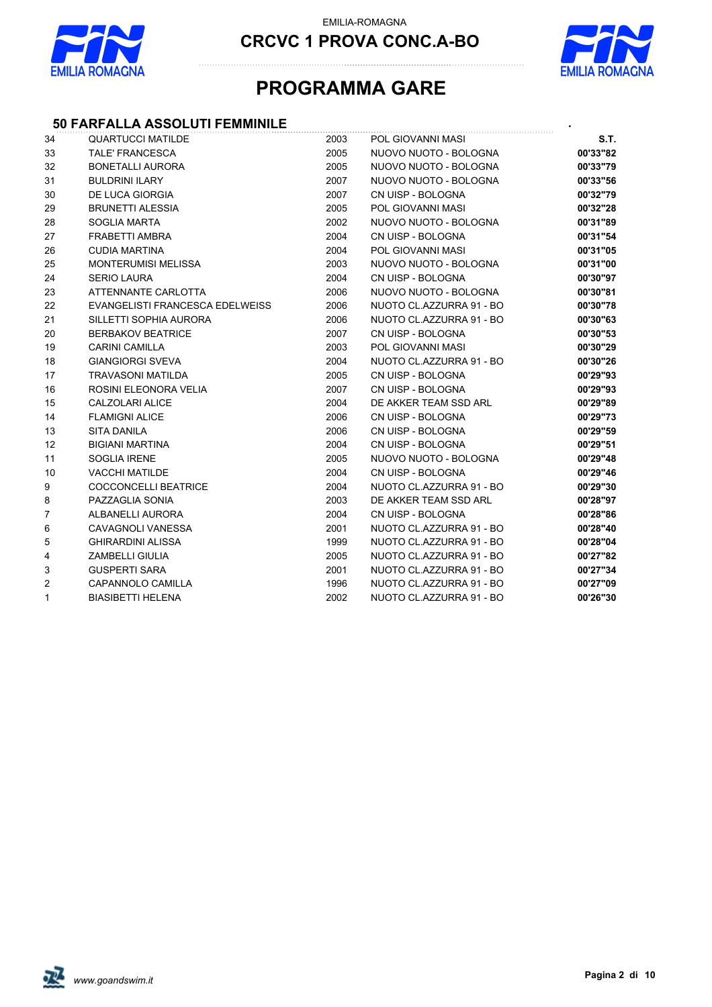



### **PROGRAMMA GARE**

#### **50 FARFALLA ASSOLUTI FEMMINILE** *.*

| 34             | <b>QUARTUCCI MATILDE</b>        | 2003 | POL GIOVANNI MASI        | S.T.     |
|----------------|---------------------------------|------|--------------------------|----------|
| 33             | <b>TALE' FRANCESCA</b>          | 2005 | NUOVO NUOTO - BOLOGNA    | 00'33"82 |
| 32             | <b>BONETALLI AURORA</b>         | 2005 | NUOVO NUOTO - BOLOGNA    | 00'33"79 |
| 31             | <b>BULDRINI ILARY</b>           | 2007 | NUOVO NUOTO - BOLOGNA    | 00'33"56 |
| 30             | DE LUCA GIORGIA                 | 2007 | CN UISP - BOLOGNA        | 00'32"79 |
| 29             | <b>BRUNETTI ALESSIA</b>         | 2005 | POL GIOVANNI MASI        | 00'32"28 |
| 28             | <b>SOGLIA MARTA</b>             | 2002 | NUOVO NUOTO - BOLOGNA    | 00'31"89 |
| 27             | FRABETTI AMBRA                  | 2004 | CN UISP - BOLOGNA        | 00'31"54 |
| 26             | <b>CUDIA MARTINA</b>            | 2004 | POL GIOVANNI MASI        | 00'31"05 |
| 25             | <b>MONTERUMISI MELISSA</b>      | 2003 | NUOVO NUOTO - BOLOGNA    | 00'31"00 |
| 24             | <b>SERIO LAURA</b>              | 2004 | CN UISP - BOLOGNA        | 00'30"97 |
| 23             | ATTENNANTE CARLOTTA             | 2006 | NUOVO NUOTO - BOLOGNA    | 00'30"81 |
| 22             | EVANGELISTI FRANCESCA EDELWEISS | 2006 | NUOTO CL.AZZURRA 91 - BO | 00'30"78 |
| 21             | SILLETTI SOPHIA AURORA          | 2006 | NUOTO CL.AZZURRA 91 - BO | 00'30"63 |
| 20             | <b>BERBAKOV BEATRICE</b>        | 2007 | CN UISP - BOLOGNA        | 00'30"53 |
| 19             | <b>CARINI CAMILLA</b>           | 2003 | POL GIOVANNI MASI        | 00'30"29 |
| 18             | <b>GIANGIORGI SVEVA</b>         | 2004 | NUOTO CL.AZZURRA 91 - BO | 00'30"26 |
| 17             | <b>TRAVASONI MATILDA</b>        | 2005 | CN UISP - BOLOGNA        | 00'29"93 |
| 16             | ROSINI ELEONORA VELIA           | 2007 | CN UISP - BOLOGNA        | 00'29"93 |
| 15             | <b>CALZOLARI ALICE</b>          | 2004 | DE AKKER TEAM SSD ARL    | 00'29"89 |
| 14             | <b>FLAMIGNI ALICE</b>           | 2006 | CN UISP - BOLOGNA        | 00'29"73 |
| 13             | <b>SITA DANILA</b>              | 2006 | CN UISP - BOLOGNA        | 00'29"59 |
| 12             | <b>BIGIANI MARTINA</b>          | 2004 | CN UISP - BOLOGNA        | 00'29"51 |
| 11             | <b>SOGLIA IRENE</b>             | 2005 | NUOVO NUOTO - BOLOGNA    | 00'29"48 |
| 10             | <b>VACCHI MATILDE</b>           | 2004 | CN UISP - BOLOGNA        | 00'29"46 |
| 9              | <b>COCCONCELLI BEATRICE</b>     | 2004 | NUOTO CL.AZZURRA 91 - BO | 00'29"30 |
| 8              | PAZZAGLIA SONIA                 | 2003 | DE AKKER TEAM SSD ARL    | 00'28"97 |
| $\overline{7}$ | ALBANELLI AURORA                | 2004 | CN UISP - BOLOGNA        | 00'28"86 |
| 6              | <b>CAVAGNOLI VANESSA</b>        | 2001 | NUOTO CL.AZZURRA 91 - BO | 00'28"40 |
| 5              | <b>GHIRARDINI ALISSA</b>        | 1999 | NUOTO CL.AZZURRA 91 - BO | 00'28"04 |
| 4              | <b>ZAMBELLI GIULIA</b>          | 2005 | NUOTO CL.AZZURRA 91 - BO | 00'27"82 |
| 3              | <b>GUSPERTI SARA</b>            | 2001 | NUOTO CL.AZZURRA 91 - BO | 00'27"34 |
| 2              | CAPANNOLO CAMILLA               | 1996 | NUOTO CL.AZZURRA 91 - BO | 00'27"09 |
| 1              | <b>BIASIBETTI HELENA</b>        | 2002 | NUOTO CL.AZZURRA 91 - BO | 00'26"30 |

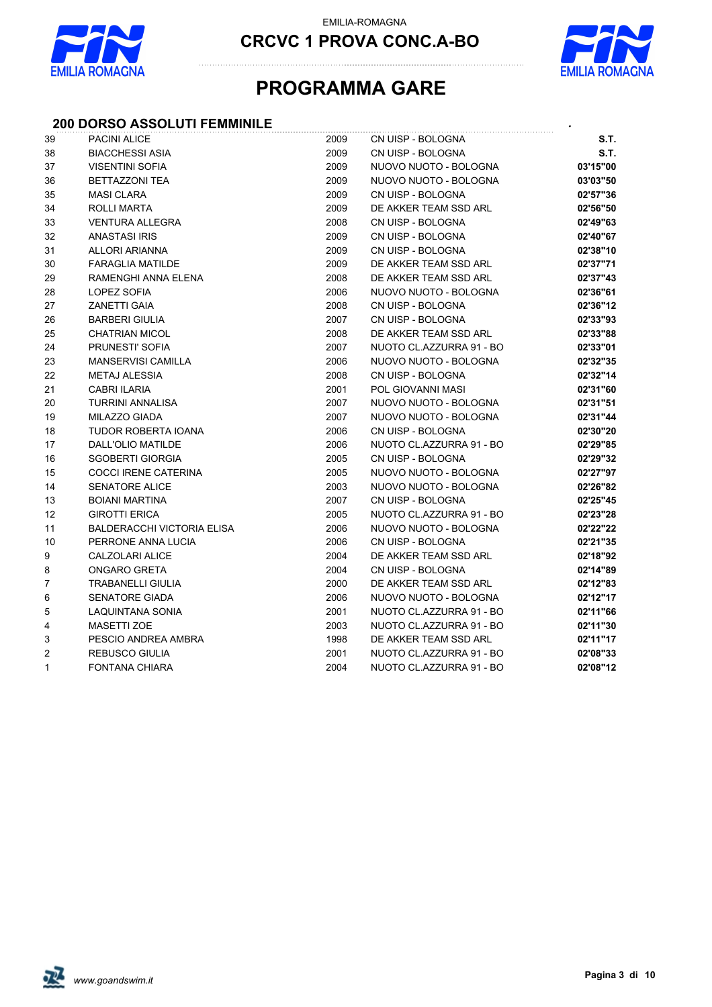

EMILIA-ROMAGNA

**CRCVC 1 PROVA CONC.A-BO**



### **PROGRAMMA GARE**

#### **200 DORSO ASSOLUTI FEMMINILE** *.*

| 39           | <b>PACINI ALICE</b>               | 2009 | CN UISP - BOLOGNA        | S.T.     |
|--------------|-----------------------------------|------|--------------------------|----------|
| 38           | <b>BIACCHESSI ASIA</b>            | 2009 | CN UISP - BOLOGNA        | S.T.     |
| 37           | <b>VISENTINI SOFIA</b>            | 2009 | NUOVO NUOTO - BOLOGNA    | 03'15"00 |
| 36           | BETTAZZONI TEA                    | 2009 | NUOVO NUOTO - BOLOGNA    | 03'03"50 |
| 35           | <b>MASI CLARA</b>                 | 2009 | CN UISP - BOLOGNA        | 02'57"36 |
| 34           | ROLLI MARTA                       | 2009 | DE AKKER TEAM SSD ARL    | 02'56"50 |
| 33           | <b>VENTURA ALLEGRA</b>            | 2008 | CN UISP - BOLOGNA        | 02'49"63 |
| 32           | <b>ANASTASI IRIS</b>              | 2009 | CN UISP - BOLOGNA        | 02'40"67 |
| 31           | <b>ALLORI ARIANNA</b>             | 2009 | CN UISP - BOLOGNA        | 02'38"10 |
| 30           | <b>FARAGLIA MATILDE</b>           | 2009 | DE AKKER TEAM SSD ARL    | 02'37"71 |
| 29           | RAMENGHI ANNA ELENA               | 2008 | DE AKKER TEAM SSD ARL    | 02'37"43 |
| 28           | LOPEZ SOFIA                       | 2006 | NUOVO NUOTO - BOLOGNA    | 02'36"61 |
| 27           | <b>ZANETTI GAIA</b>               | 2008 | CN UISP - BOLOGNA        | 02'36"12 |
| 26           | <b>BARBERI GIULIA</b>             | 2007 | CN UISP - BOLOGNA        | 02'33"93 |
| 25           | <b>CHATRIAN MICOL</b>             | 2008 | DE AKKER TEAM SSD ARL    | 02'33"88 |
| 24           | PRUNESTI' SOFIA                   | 2007 | NUOTO CL.AZZURRA 91 - BO | 02'33"01 |
| 23           | <b>MANSERVISI CAMILLA</b>         | 2006 | NUOVO NUOTO - BOLOGNA    | 02'32"35 |
| 22           | <b>METAJ ALESSIA</b>              | 2008 | CN UISP - BOLOGNA        | 02'32"14 |
| 21           | CABRI ILARIA                      | 2001 | POL GIOVANNI MASI        | 02'31"60 |
| 20           | <b>TURRINI ANNALISA</b>           | 2007 | NUOVO NUOTO - BOLOGNA    | 02'31"51 |
| 19           | <b>MILAZZO GIADA</b>              | 2007 | NUOVO NUOTO - BOLOGNA    | 02'31"44 |
| 18           | TUDOR ROBERTA IOANA               | 2006 | CN UISP - BOLOGNA        | 02'30"20 |
| 17           | DALL'OLIO MATILDE                 | 2006 | NUOTO CL.AZZURRA 91 - BO | 02'29"85 |
| 16           | <b>SGOBERTI GIORGIA</b>           | 2005 | CN UISP - BOLOGNA        | 02'29"32 |
| 15           | COCCI IRENE CATERINA              | 2005 | NUOVO NUOTO - BOLOGNA    | 02'27"97 |
| 14           | <b>SENATORE ALICE</b>             | 2003 | NUOVO NUOTO - BOLOGNA    | 02'26"82 |
| 13           | <b>BOIANI MARTINA</b>             | 2007 | CN UISP - BOLOGNA        | 02'25"45 |
| 12           | <b>GIROTTI ERICA</b>              | 2005 | NUOTO CL.AZZURRA 91 - BO | 02'23"28 |
| 11           | <b>BALDERACCHI VICTORIA ELISA</b> | 2006 | NUOVO NUOTO - BOLOGNA    | 02'22"22 |
| 10           | PERRONE ANNA LUCIA                | 2006 | CN UISP - BOLOGNA        | 02'21"35 |
| 9            | CALZOLARI ALICE                   | 2004 | DE AKKER TEAM SSD ARL    | 02'18"92 |
| 8            | <b>ONGARO GRETA</b>               | 2004 | CN UISP - BOLOGNA        | 02'14"89 |
| 7            | <b>TRABANELLI GIULIA</b>          | 2000 | DE AKKER TEAM SSD ARL    | 02'12"83 |
| 6            | <b>SENATORE GIADA</b>             | 2006 | NUOVO NUOTO - BOLOGNA    | 02'12"17 |
| 5            | LAQUINTANA SONIA                  | 2001 | NUOTO CL.AZZURRA 91 - BO | 02'11"66 |
| 4            | <b>MASETTI ZOE</b>                | 2003 | NUOTO CL.AZZURRA 91 - BO | 02'11"30 |
| 3            | PESCIO ANDREA AMBRA               | 1998 | DE AKKER TEAM SSD ARL    | 02'11"17 |
| 2            | <b>REBUSCO GIULIA</b>             | 2001 | NUOTO CL.AZZURRA 91 - BO | 02'08"33 |
| $\mathbf{1}$ | <b>FONTANA CHIARA</b>             | 2004 | NUOTO CL.AZZURRA 91 - BO | 02'08"12 |

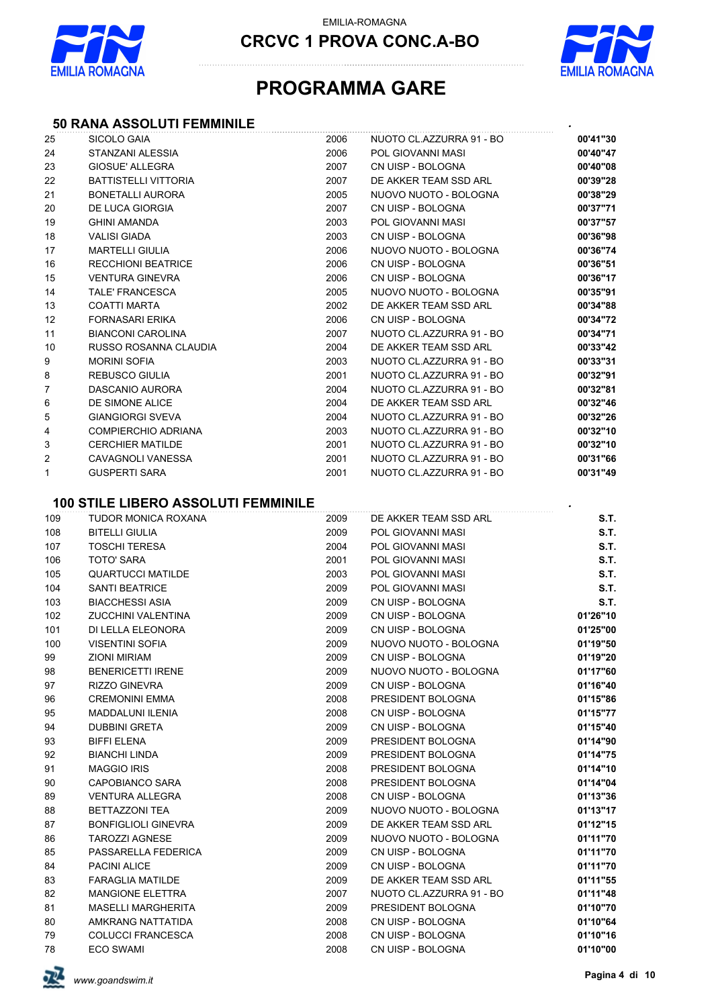



### **PROGRAMMA GARE**

#### **50 RANA ASSOLUTI FEMMINILE** *.*

| 25  | SICOLO GAIA                                | 2006 | NUOTO CL.AZZURRA 91 - BO | 00'41"30 |
|-----|--------------------------------------------|------|--------------------------|----------|
| 24  | STANZANI ALESSIA                           | 2006 | POL GIOVANNI MASI        | 00'40"47 |
| 23  | GIOSUE' ALLEGRA                            | 2007 | CN UISP - BOLOGNA        | 00'40"08 |
| 22  | <b>BATTISTELLI VITTORIA</b>                | 2007 | DE AKKER TEAM SSD ARL    | 00'39"28 |
| 21  | BONETALLI AURORA                           | 2005 | NUOVO NUOTO - BOLOGNA    | 00'38"29 |
| 20  | <b>DE LUCA GIORGIA</b>                     | 2007 | CN UISP - BOLOGNA        | 00'37"71 |
| 19  | <b>GHINI AMANDA</b>                        | 2003 | POL GIOVANNI MASI        | 00'37"57 |
| 18  | <b>VALISI GIADA</b>                        | 2003 | CN UISP - BOLOGNA        | 00'36"98 |
| 17  | <b>MARTELLI GIULIA</b>                     | 2006 | NUOVO NUOTO - BOLOGNA    | 00'36"74 |
| 16  | <b>RECCHIONI BEATRICE</b>                  | 2006 | CN UISP - BOLOGNA        | 00'36"51 |
| 15  | <b>VENTURA GINEVRA</b>                     | 2006 | CN UISP - BOLOGNA        | 00'36"17 |
| 14  | <b>TALE' FRANCESCA</b>                     | 2005 | NUOVO NUOTO - BOLOGNA    | 00'35"91 |
| 13  | <b>COATTI MARTA</b>                        | 2002 | DE AKKER TEAM SSD ARL    | 00'34"88 |
| 12  | <b>FORNASARI ERIKA</b>                     | 2006 | CN UISP - BOLOGNA        | 00'34"72 |
| 11  | <b>BIANCONI CAROLINA</b>                   | 2007 | NUOTO CL.AZZURRA 91 - BO | 00'34"71 |
| 10  | RUSSO ROSANNA CLAUDIA                      | 2004 | DE AKKER TEAM SSD ARL    | 00'33"42 |
| 9   | <b>MORINI SOFIA</b>                        | 2003 | NUOTO CL.AZZURRA 91 - BO | 00'33"31 |
| 8   | <b>REBUSCO GIULIA</b>                      | 2001 | NUOTO CL.AZZURRA 91 - BO | 00'32"91 |
| 7   | DASCANIO AURORA                            | 2004 | NUOTO CL.AZZURRA 91 - BO | 00'32"81 |
| 6   | DE SIMONE ALICE                            | 2004 | DE AKKER TEAM SSD ARL    | 00'32"46 |
| 5   | <b>GIANGIORGI SVEVA</b>                    | 2004 | NUOTO CL.AZZURRA 91 - BO | 00'32"26 |
| 4   | <b>COMPIERCHIO ADRIANA</b>                 | 2003 | NUOTO CL.AZZURRA 91 - BO | 00'32"10 |
| 3   | <b>CERCHIER MATILDE</b>                    | 2001 | NUOTO CL.AZZURRA 91 - BO | 00'32"10 |
| 2   | CAVAGNOLI VANESSA                          | 2001 | NUOTO CL.AZZURRA 91 - BO | 00'31"66 |
| 1   | <b>GUSPERTI SARA</b>                       | 2001 | NUOTO CL.AZZURRA 91 - BO | 00'31"49 |
|     |                                            |      |                          |          |
|     | <b>100 STILE LIBERO ASSOLUTI FEMMINILE</b> |      |                          |          |
| 109 | TUDOR MONICA ROXANA                        | 2009 | DE AKKER TEAM SSD ARL    | S.T.     |
| 108 | <b>BITELLI GIULIA</b>                      | 2009 | POL GIOVANNI MASI        | S.T.     |
| 107 | <b>TOSCHI TERESA</b>                       | 2004 | POL GIOVANNI MASI        | S.T.     |
| 106 | <b>TOTO' SARA</b>                          | 2001 | POL GIOVANNI MASI        | S.T.     |
| 105 | <b>QUARTUCCI MATILDE</b>                   | 2003 | POL GIOVANNI MASI        | S.T.     |
| 104 | <b>SANTI BEATRICE</b>                      | 2009 | POL GIOVANNI MASI        | S.T.     |
| 103 | <b>BIACCHESSI ASIA</b>                     | 2009 | CN UISP - BOLOGNA        | S.T.     |
| 102 | ZUCCHINI VALENTINA                         | 2009 | CN UISP - BOLOGNA        | 01'26"10 |
| 101 | DI LELLA ELEONORA                          | 2009 | CN UISP - BOLOGNA        | 01'25"00 |
| 100 | <b>VISENTINI SOFIA</b>                     | 2009 | NUOVO NUOTO - BOLOGNA    | 01'19"50 |
| 99  | <b>ZIONI MIRIAM</b>                        | 2009 | CN UISP - BOLOGNA        | 01'19"20 |
| 98  | <b>BENERICETTI IRENE</b>                   | 2009 | NUOVO NUOTO - BOLOGNA    | 01'17"60 |
| 97  | RIZZO GINEVRA                              | 2009 | CN UISP - BOLOGNA        | 01'16"40 |
| 96  | <b>CREMONINI EMMA</b>                      | 2008 | PRESIDENT BOLOGNA        | 01'15"86 |
| 95  | MADDALUNI ILENIA                           | 2008 | CN UISP - BOLOGNA        | 01'15"77 |
| 94  | <b>DUBBINI GRETA</b>                       | 2009 | CN UISP - BOLOGNA        | 01'15"40 |
|     |                                            |      |                          |          |
| 93  | <b>BIFFI ELENA</b>                         | 2009 | PRESIDENT BOLOGNA        | 01'14"90 |
| 92  | <b>BIANCHI LINDA</b>                       | 2009 | PRESIDENT BOLOGNA        | 01'14"75 |
| 91  | <b>MAGGIO IRIS</b>                         | 2008 | PRESIDENT BOLOGNA        | 01'14"10 |
| 90  | CAPOBIANCO SARA                            | 2008 | PRESIDENT BOLOGNA        | 01'14"04 |
| 89  | VENTURA ALLEGRA                            | 2008 | CN UISP - BOLOGNA        | 01'13"36 |
| 88  | <b>BETTAZZONI TEA</b>                      | 2009 | NUOVO NUOTO - BOLOGNA    | 01'13"17 |
| 87  | <b>BONFIGLIOLI GINEVRA</b>                 | 2009 | DE AKKER TEAM SSD ARL    | 01'12"15 |
| 86  | <b>TAROZZI AGNESE</b>                      | 2009 | NUOVO NUOTO - BOLOGNA    | 01'11"70 |
| 85  | PASSARELLA FEDERICA                        | 2009 | CN UISP - BOLOGNA        | 01'11"70 |
| 84  | PACINI ALICE                               | 2009 | CN UISP - BOLOGNA        | 01'11"70 |
| 83  | <b>FARAGLIA MATILDE</b>                    | 2009 | DE AKKER TEAM SSD ARL    | 01'11"55 |
| 82  | <b>MANGIONE ELETTRA</b>                    | 2007 | NUOTO CL.AZZURRA 91 - BO | 01'11"48 |
| 81  | MASELLI MARGHERITA                         | 2009 | PRESIDENT BOLOGNA        | 01'10"70 |
| 80  | AMKRANG NATTATIDA                          | 2008 | CN UISP - BOLOGNA        | 01'10"64 |
| 79  | <b>COLUCCI FRANCESCA</b>                   | 2008 | CN UISP - BOLOGNA        | 01'10"16 |
| 78  | <b>ECO SWAMI</b>                           | 2008 | CN UISP - BOLOGNA        | 01'10"00 |

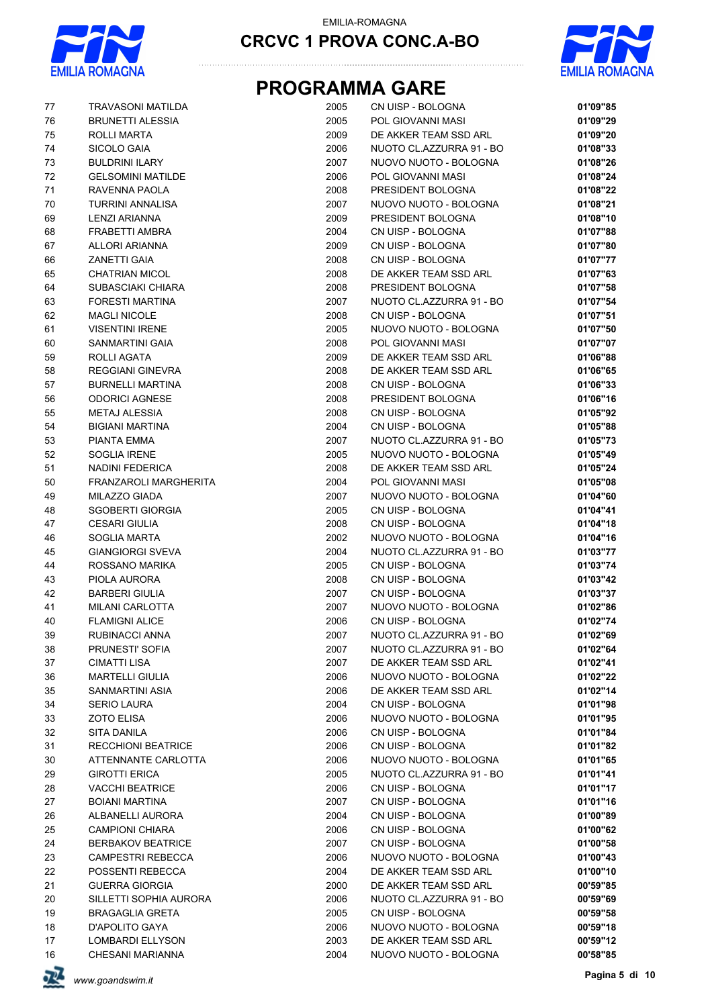



# **PROGRAMMA GARE**

| 77       | <b>TRAVASONI MATILDA</b>              | 2005         | CN UISP - BOLOGNA                          | 01'09"85             |
|----------|---------------------------------------|--------------|--------------------------------------------|----------------------|
| 76       | <b>BRUNETTI ALESSIA</b>               | 2005         | POL GIOVANNI MASI                          | 01'09"29             |
| 75       | ROLLI MARTA                           | 2009         | DE AKKER TEAM SSD ARL                      | 01'09"20             |
| 74       | SICOLO GAIA                           | 2006         | NUOTO CL.AZZURRA 91 - BO                   | 01'08"33             |
| 73       | <b>BULDRINI ILARY</b>                 | 2007         | NUOVO NUOTO - BOLOGNA                      | 01'08"26             |
| 72       | <b>GELSOMINI MATILDE</b>              | 2006         | POL GIOVANNI MASI                          | 01'08"24             |
| 71       | RAVENNA PAOLA                         | 2008         | PRESIDENT BOLOGNA                          | 01'08"22             |
| 70       | TURRINI ANNALISA                      | 2007         | NUOVO NUOTO - BOLOGNA                      | 01'08"21             |
| 69       | <b>LENZI ARIANNA</b>                  | 2009         | PRESIDENT BOLOGNA                          | 01'08"10             |
| 68       | <b>FRABETTI AMBRA</b>                 | 2004         | CN UISP - BOLOGNA                          | 01'07"88             |
| 67       | <b>ALLORI ARIANNA</b>                 | 2009         | CN UISP - BOLOGNA                          | 01'07"80             |
| 66       | ZANETTI GAIA                          | 2008         | CN UISP - BOLOGNA                          | 01'07"77             |
| 65       | <b>CHATRIAN MICOL</b>                 | 2008         | DE AKKER TEAM SSD ARL                      | 01'07"63             |
| 64       | SUBASCIAKI CHIARA                     | 2008         | PRESIDENT BOLOGNA                          | 01'07"58             |
| 63       | <b>FORESTI MARTINA</b>                | 2007         | NUOTO CL.AZZURRA 91 - BO                   | 01'07"54             |
| 62       | <b>MAGLI NICOLE</b>                   | 2008         | CN UISP - BOLOGNA                          | 01'07"51             |
| 61       | <b>VISENTINI IRENE</b>                | 2005         | NUOVO NUOTO - BOLOGNA                      | 01'07"50             |
| 60       | SANMARTINI GAIA                       | 2008         | POL GIOVANNI MASI                          | 01'07"07             |
| 59       | ROLLI AGATA                           | 2009         | DE AKKER TEAM SSD ARL                      | 01'06"88             |
| 58       | <b>REGGIANI GINEVRA</b>               | 2008         | DE AKKER TEAM SSD ARL                      | 01'06"65             |
| 57       | <b>BURNELLI MARTINA</b>               | 2008         | CN UISP - BOLOGNA                          | 01'06"33             |
| 56       | <b>ODORICI AGNESE</b>                 | 2008         | PRESIDENT BOLOGNA                          | 01'06"16             |
| 55       | <b>METAJ ALESSIA</b>                  | 2008         | CN UISP - BOLOGNA                          | 01'05"92             |
| 54       | <b>BIGIANI MARTINA</b>                | 2004         | CN UISP - BOLOGNA                          | 01'05"88             |
| 53       | PIANTA EMMA                           | 2007         | NUOTO CL.AZZURRA 91 - BO                   | 01'05"73             |
| 52       | SOGLIA IRENE                          | 2005         | NUOVO NUOTO - BOLOGNA                      | 01'05"49             |
| 51       | NADINI FEDERICA                       | 2008         | DE AKKER TEAM SSD ARL                      | 01'05"24             |
| 50       | FRANZAROLI MARGHERITA                 | 2004         | POL GIOVANNI MASI                          | 01'05"08             |
| 49       | MILAZZO GIADA                         | 2007         | NUOVO NUOTO - BOLOGNA                      | 01'04"60             |
| 48       | <b>SGOBERTI GIORGIA</b>               | 2005         | CN UISP - BOLOGNA                          | 01'04"41             |
| 47       | <b>CESARI GIULIA</b>                  | 2008         | CN UISP - BOLOGNA                          | 01'04"18             |
| 46       | <b>SOGLIA MARTA</b>                   | 2002         | NUOVO NUOTO - BOLOGNA                      | 01'04"16             |
| 45       | <b>GIANGIORGI SVEVA</b>               | 2004         | NUOTO CL.AZZURRA 91 - BO                   | 01'03"77             |
| 44       | ROSSANO MARIKA                        | 2005         | CN UISP - BOLOGNA                          | 01'03"74             |
| 43       | PIOLA AURORA                          | 2008         | CN UISP - BOLOGNA                          | 01'03"42             |
| 42       | <b>BARBERI GIULIA</b>                 | 2007         | CN UISP - BOLOGNA                          | 01'03"37             |
| 41       | <b>MILANI CARLOTTA</b>                | 2007         | NUOVO NUOTO - BOLOGNA                      | 01'02"86             |
| 40       | <b>FLAMIGNI ALICE</b>                 | 2006         | CN UISP - BOLOGNA                          | 01'02"74             |
| 39       | RUBINACCI ANNA                        | 2007         | NUOTO CL.AZZURRA 91 - BO                   | 01'02"69             |
| 38       | PRUNESTI' SOFIA                       | 2007         | NUOTO CL.AZZURRA 91 - BO                   | 01'02"64             |
| 37       | CIMATTI LISA                          | 2007         | DE AKKER TEAM SSD ARL                      | 01'02"41             |
| 36       | <b>MARTELLI GIULIA</b>                | 2006         | NUOVO NUOTO - BOLOGNA                      | 01'02"22             |
| 35<br>34 | SANMARTINI ASIA<br><b>SERIO LAURA</b> | 2006<br>2004 | DE AKKER TEAM SSD ARL<br>CN UISP - BOLOGNA | 01'02"14<br>01'01"98 |
| 33       | <b>ZOTO ELISA</b>                     | 2006         | NUOVO NUOTO - BOLOGNA                      |                      |
| 32       | SITA DANILA                           | 2006         | CN UISP - BOLOGNA                          | 01'01"95<br>01'01"84 |
| 31       | <b>RECCHIONI BEATRICE</b>             | 2006         | CN UISP - BOLOGNA                          | 01'01"82             |
| 30       | ATTENNANTE CARLOTTA                   | 2006         | NUOVO NUOTO - BOLOGNA                      | 01'01"65             |
| 29       | <b>GIROTTI ERICA</b>                  | 2005         | NUOTO CL.AZZURRA 91 - BO                   | 01'01"41             |
| 28       | <b>VACCHI BEATRICE</b>                | 2006         | CN UISP - BOLOGNA                          | 01'01"17             |
| 27       | <b>BOIANI MARTINA</b>                 | 2007         | CN UISP - BOLOGNA                          | 01'01"16             |
| 26       | ALBANELLI AURORA                      | 2004         | CN UISP - BOLOGNA                          | 01'00"89             |
| 25       | <b>CAMPIONI CHIARA</b>                | 2006         | CN UISP - BOLOGNA                          | 01'00"62             |
| 24       | <b>BERBAKOV BEATRICE</b>              | 2007         | CN UISP - BOLOGNA                          | 01'00"58             |
| 23       | <b>CAMPESTRI REBECCA</b>              | 2006         | NUOVO NUOTO - BOLOGNA                      | 01'00"43             |
| 22       | POSSENTI REBECCA                      | 2004         | DE AKKER TEAM SSD ARL                      | 01'00"10             |
| 21       | <b>GUERRA GIORGIA</b>                 | 2000         | DE AKKER TEAM SSD ARL                      | 00'59"85             |
| 20       | SILLETTI SOPHIA AURORA                | 2006         | NUOTO CL.AZZURRA 91 - BO                   | 00'59"69             |
| 19       | <b>BRAGAGLIA GRETA</b>                | 2005         | CN UISP - BOLOGNA                          | 00'59"58             |
| 18       | <b>D'APOLITO GAYA</b>                 | 2006         | NUOVO NUOTO - BOLOGNA                      | 00'59"18             |
| 17       | LOMBARDI ELLYSON                      | 2003         | DE AKKER TEAM SSD ARL                      | 00'59"12             |
| 16       | CHESANI MARIANNA                      | 2004         | NUOVO NUOTO - BOLOGNA                      | 00'58"85             |
|          |                                       |              |                                            |                      |

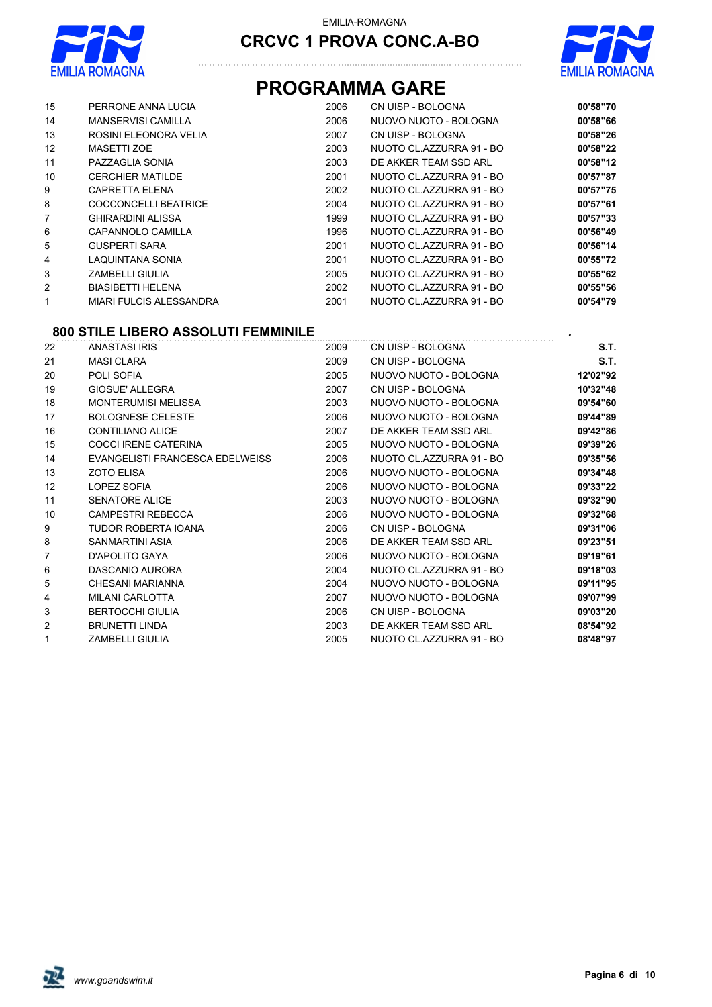



### **PROGRAMMA GARE**

| 15 | PERRONE ANNA LUCIA        | 2006 | CN UISP - BOLOGNA        | 00'58"70 |
|----|---------------------------|------|--------------------------|----------|
| 14 | <b>MANSERVISI CAMILLA</b> | 2006 | NUOVO NUOTO - BOLOGNA    | 00'58"66 |
| 13 | ROSINI ELEONORA VELIA     | 2007 | CN UISP - BOLOGNA        | 00'58"26 |
| 12 | MASETTI ZOE               | 2003 | NUOTO CL.AZZURRA 91 - BO | 00'58"22 |
| 11 | PAZZAGLIA SONIA           | 2003 | DE AKKER TEAM SSD ARL    | 00'58"12 |
| 10 | <b>CERCHIER MATILDE</b>   | 2001 | NUOTO CL.AZZURRA 91 - BO | 00'57"87 |
| 9  | <b>CAPRETTA ELENA</b>     | 2002 | NUOTO CL.AZZURRA 91 - BO | 00'57"75 |
| 8  | COCCONCELLI BEATRICE      | 2004 | NUOTO CL.AZZURRA 91 - BO | 00'57"61 |
| 7  | <b>GHIRARDINI ALISSA</b>  | 1999 | NUOTO CL.AZZURRA 91 - BO | 00'57"33 |
| 6  | CAPANNOLO CAMILLA         | 1996 | NUOTO CL.AZZURRA 91 - BO | 00'56"49 |
| 5  | <b>GUSPERTI SARA</b>      | 2001 | NUOTO CL.AZZURRA 91 - BO | 00'56"14 |
| 4  | LAQUINTANA SONIA          | 2001 | NUOTO CL.AZZURRA 91 - BO | 00'55"72 |
| 3  | ZAMBELLI GIULIA           | 2005 | NUOTO CL.AZZURRA 91 - BO | 00'55"62 |
| 2  | <b>BIASIBETTI HELENA</b>  | 2002 | NUOTO CL.AZZURRA 91 - BO | 00'55"56 |
|    | MIARI FULCIS ALESSANDRA   | 2001 | NUOTO CL.AZZURRA 91 - BO | 00'54"79 |
|    |                           |      |                          |          |

#### **800 STILE LIBERO ASSOLUTI FEMMINILE** *.*

| 22             | <b>ANASTASI IRIS</b>            | 2009 | CN UISP - BOLOGNA        | S.T.     |
|----------------|---------------------------------|------|--------------------------|----------|
| 21             | <b>MASI CLARA</b>               | 2009 | CN UISP - BOLOGNA        | S.T.     |
| 20             | POLI SOFIA                      | 2005 | NUOVO NUOTO - BOLOGNA    | 12'02"92 |
| 19             | <b>GIOSUE' ALLEGRA</b>          | 2007 | CN UISP - BOLOGNA        | 10'32"48 |
| 18             | <b>MONTERUMISI MELISSA</b>      | 2003 | NUOVO NUOTO - BOLOGNA    | 09'54"60 |
| 17             | <b>BOLOGNESE CELESTE</b>        | 2006 | NUOVO NUOTO - BOLOGNA    | 09'44"89 |
| 16             | <b>CONTILIANO ALICE</b>         | 2007 | DE AKKER TEAM SSD ARL    | 09'42"86 |
| 15             | <b>COCCI IRENE CATERINA</b>     | 2005 | NUOVO NUOTO - BOLOGNA    | 09'39"26 |
| 14             | EVANGELISTI FRANCESCA EDELWEISS | 2006 | NUOTO CL.AZZURRA 91 - BO | 09'35"56 |
| 13             | <b>ZOTO ELISA</b>               | 2006 | NUOVO NUOTO - BOLOGNA    | 09'34"48 |
| 12             | LOPEZ SOFIA                     | 2006 | NUOVO NUOTO - BOLOGNA    | 09'33"22 |
| 11             | <b>SENATORE ALICE</b>           | 2003 | NUOVO NUOTO - BOLOGNA    | 09'32"90 |
| 10             | <b>CAMPESTRI REBECCA</b>        | 2006 | NUOVO NUOTO - BOLOGNA    | 09'32"68 |
| 9              | <b>TUDOR ROBERTA IOANA</b>      | 2006 | CN UISP - BOLOGNA        | 09'31"06 |
| 8              | SANMARTINI ASIA                 | 2006 | DE AKKER TEAM SSD ARL    | 09'23"51 |
| $\overline{7}$ | D'APOLITO GAYA                  | 2006 | NUOVO NUOTO - BOLOGNA    | 09'19"61 |
| 6              | DASCANIO AURORA                 | 2004 | NUOTO CL.AZZURRA 91 - BO | 09'18"03 |
| 5              | CHESANI MARIANNA                | 2004 | NUOVO NUOTO - BOLOGNA    | 09'11"95 |
| 4              | <b>MILANI CARLOTTA</b>          | 2007 | NUOVO NUOTO - BOLOGNA    | 09'07"99 |
| 3              | <b>BERTOCCHI GIULIA</b>         | 2006 | CN UISP - BOLOGNA        | 09'03"20 |
| 2              | <b>BRUNETTI LINDA</b>           | 2003 | DE AKKER TEAM SSD ARL    | 08'54"92 |
| 1              | <b>ZAMBELLI GIULIA</b>          | 2005 | NUOTO CL.AZZURRA 91 - BO | 08'48"97 |

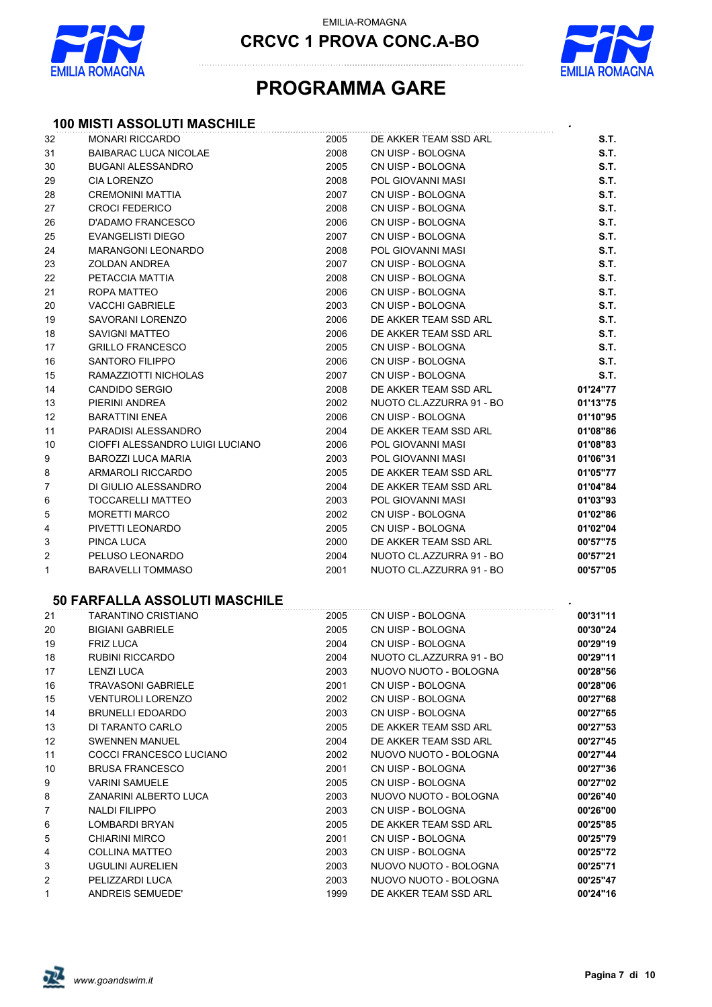

EMILIA-ROMAGNA

**CRCVC 1 PROVA CONC.A-BO**



### **PROGRAMMA GARE**

### **100 MISTI ASSOLUTI MASCHILE** *.*

| 32             | <b>MONARI RICCARDO</b>          | 2005 | DE AKKER TEAM SSD ARL    | S.T.     |
|----------------|---------------------------------|------|--------------------------|----------|
| 31             | <b>BAIBARAC LUCA NICOLAE</b>    | 2008 | CN UISP - BOLOGNA        | S.T.     |
| 30             | <b>BUGANI ALESSANDRO</b>        | 2005 | CN UISP - BOLOGNA        | S.T.     |
| 29             | CIA LORENZO                     | 2008 | <b>POL GIOVANNI MASI</b> | S.T.     |
| 28             | <b>CREMONINI MATTIA</b>         | 2007 | CN UISP - BOLOGNA        | S.T.     |
| 27             | <b>CROCI FEDERICO</b>           | 2008 | CN UISP - BOLOGNA        | S.T.     |
| 26             | <b>D'ADAMO FRANCESCO</b>        | 2006 | CN UISP - BOLOGNA        | S.T.     |
| 25             | <b>EVANGELISTI DIEGO</b>        | 2007 | CN UISP - BOLOGNA        | S.T.     |
| 24             | <b>MARANGONI LEONARDO</b>       | 2008 | POL GIOVANNI MASI        | S.T.     |
| 23             | <b>ZOLDAN ANDREA</b>            | 2007 | CN UISP - BOLOGNA        | S.T.     |
| 22             | PETACCIA MATTIA                 | 2008 | CN UISP - BOLOGNA        | S.T.     |
| 21             | ROPA MATTEO                     | 2006 | CN UISP - BOLOGNA        | S.T.     |
| 20             | <b>VACCHI GABRIELE</b>          | 2003 | CN UISP - BOLOGNA        | S.T.     |
| 19             | SAVORANI LORENZO                | 2006 | DE AKKER TEAM SSD ARL    | S.T.     |
| 18             | <b>SAVIGNI MATTEO</b>           | 2006 | DE AKKER TEAM SSD ARL    | S.T.     |
| 17             | <b>GRILLO FRANCESCO</b>         | 2005 | CN UISP - BOLOGNA        | S.T.     |
| 16             | <b>SANTORO FILIPPO</b>          | 2006 | CN UISP - BOLOGNA        | S.T.     |
| 15             | RAMAZZIOTTI NICHOLAS            | 2007 | CN UISP - BOLOGNA        | S.T.     |
| 14             | <b>CANDIDO SERGIO</b>           | 2008 | DE AKKER TEAM SSD ARL    | 01'24"77 |
| 13             | PIERINI ANDREA                  | 2002 | NUOTO CL.AZZURRA 91 - BO | 01'13"75 |
| 12             | <b>BARATTINI ENEA</b>           | 2006 | CN UISP - BOLOGNA        | 01'10"95 |
| 11             | PARADISI ALESSANDRO             | 2004 | DE AKKER TEAM SSD ARL    | 01'08"86 |
| 10             | CIOFFI ALESSANDRO LUIGI LUCIANO | 2006 | POL GIOVANNI MASI        | 01'08"83 |
| 9              | <b>BAROZZI LUCA MARIA</b>       | 2003 | POL GIOVANNI MASI        | 01'06"31 |
| 8              | ARMAROLI RICCARDO               | 2005 | DE AKKER TEAM SSD ARL    | 01'05"77 |
| $\overline{7}$ | DI GIULIO ALESSANDRO            | 2004 | DE AKKER TEAM SSD ARL    | 01'04"84 |
| 6              | <b>TOCCARELLI MATTEO</b>        | 2003 | POL GIOVANNI MASI        | 01'03"93 |
| 5              | <b>MORETTI MARCO</b>            | 2002 | CN UISP - BOLOGNA        | 01'02"86 |
| 4              | PIVETTI LEONARDO                | 2005 | CN UISP - BOLOGNA        | 01'02"04 |
| 3              | PINCA LUCA                      | 2000 | DE AKKER TEAM SSD ARL    | 00'57"75 |
| $\overline{2}$ | PELUSO LEONARDO                 | 2004 | NUOTO CL.AZZURRA 91 - BO | 00'57"21 |
| $\mathbf{1}$   | <b>BARAVELLI TOMMASO</b>        | 2001 | NUOTO CL.AZZURRA 91 - BO | 00'57"05 |

#### **50 FARFALLA ASSOLUTI MASCHILE** *.*

| 21             | <b>TARANTINO CRISTIANO</b> | 2005 | CN UISP - BOLOGNA        | 00'31"11 |
|----------------|----------------------------|------|--------------------------|----------|
| 20             | <b>BIGIANI GABRIELE</b>    | 2005 | CN UISP - BOLOGNA        | 00'30"24 |
| 19             | <b>FRIZ LUCA</b>           | 2004 | CN UISP - BOLOGNA        | 00'29"19 |
| 18             | <b>RUBINI RICCARDO</b>     | 2004 | NUOTO CL.AZZURRA 91 - BO | 00'29"11 |
| 17             | <b>LENZI LUCA</b>          | 2003 | NUOVO NUOTO - BOLOGNA    | 00'28"56 |
| 16             | <b>TRAVASONI GABRIELE</b>  | 2001 | CN UISP - BOLOGNA        | 00'28"06 |
| 15             | <b>VENTUROLI LORENZO</b>   | 2002 | CN UISP - BOLOGNA        | 00'27"68 |
| 14             | <b>BRUNELLI EDOARDO</b>    | 2003 | CN UISP - BOLOGNA        | 00'27"65 |
| 13             | DI TARANTO CARLO           | 2005 | DE AKKER TEAM SSD ARL    | 00'27"53 |
| 12             | <b>SWENNEN MANUEL</b>      | 2004 | DE AKKER TEAM SSD ARL    | 00'27"45 |
| 11             | COCCI FRANCESCO LUCIANO    | 2002 | NUOVO NUOTO - BOLOGNA    | 00'27"44 |
| 10             | <b>BRUSA FRANCESCO</b>     | 2001 | CN UISP - BOLOGNA        | 00'27"36 |
| 9              | <b>VARINI SAMUELE</b>      | 2005 | CN UISP - BOLOGNA        | 00'27"02 |
| 8              | ZANARINI ALBERTO LUCA      | 2003 | NUOVO NUOTO - BOLOGNA    | 00'26"40 |
| $\overline{7}$ | NALDI FILIPPO              | 2003 | CN UISP - BOLOGNA        | 00'26"00 |
| 6              | LOMBARDI BRYAN             | 2005 | DE AKKER TEAM SSD ARL    | 00'25"85 |
| 5              | <b>CHIARINI MIRCO</b>      | 2001 | CN UISP - BOLOGNA        | 00'25"79 |
| 4              | <b>COLLINA MATTEO</b>      | 2003 | CN UISP - BOLOGNA        | 00'25"72 |
| 3              | <b>UGULINI AURELIEN</b>    | 2003 | NUOVO NUOTO - BOLOGNA    | 00'25"71 |
| 2              | PELIZZARDI LUCA            | 2003 | NUOVO NUOTO - BOLOGNA    | 00'25"47 |
| $\mathbf{1}$   | ANDREIS SEMUEDE'           | 1999 | DE AKKER TEAM SSD ARL    | 00'24"16 |

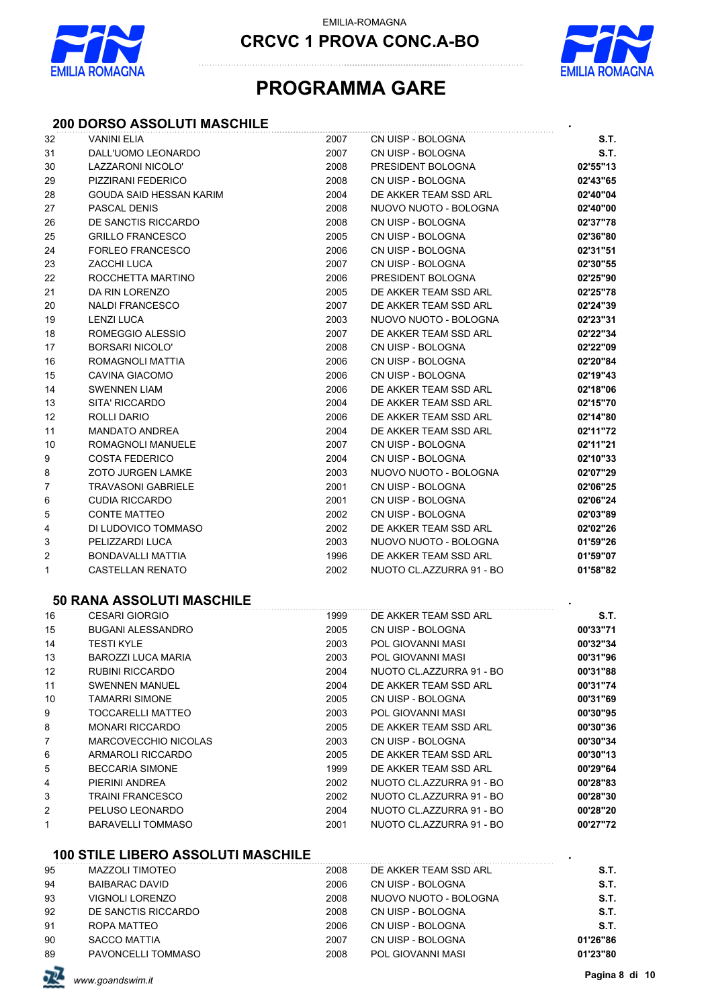



### **PROGRAMMA GARE**

#### **200 DORSO ASSOLUTI MASCHILE** *.*

| 32             | <b>VANINI ELIA</b>          | 2007 | CN UISP - BOLOGNA        | S.T.     |
|----------------|-----------------------------|------|--------------------------|----------|
| 31             | DALL'UOMO LEONARDO          | 2007 | CN UISP - BOLOGNA        | S.T.     |
| 30             | LAZZARONI NICOLO'           | 2008 | PRESIDENT BOLOGNA        | 02'55"13 |
| 29             | PIZZIRANI FEDERICO          | 2008 | CN UISP - BOLOGNA        | 02'43"65 |
| 28             | GOUDA SAID HESSAN KARIM     | 2004 | DE AKKER TEAM SSD ARL    | 02'40"04 |
| 27             | PASCAL DENIS                | 2008 | NUOVO NUOTO - BOLOGNA    | 02'40"00 |
| 26             | DE SANCTIS RICCARDO         | 2008 | CN UISP - BOLOGNA        | 02'37"78 |
| 25             | <b>GRILLO FRANCESCO</b>     | 2005 | CN UISP - BOLOGNA        | 02'36"80 |
| 24             | <b>FORLEO FRANCESCO</b>     | 2006 | CN UISP - BOLOGNA        | 02'31"51 |
| 23             | ZACCHI LUCA                 | 2007 | CN UISP - BOLOGNA        | 02'30"55 |
| 22             | ROCCHETTA MARTINO           | 2006 | PRESIDENT BOLOGNA        | 02'25"90 |
| 21             | DA RIN LORENZO              | 2005 | DE AKKER TEAM SSD ARL    | 02'25"78 |
| 20             | <b>NALDI FRANCESCO</b>      | 2007 | DE AKKER TEAM SSD ARL    | 02'24"39 |
| 19             | <b>LENZI LUCA</b>           | 2003 | NUOVO NUOTO - BOLOGNA    | 02'23"31 |
| 18             | ROMEGGIO ALESSIO            | 2007 | DE AKKER TEAM SSD ARL    | 02'22"34 |
| 17             | <b>BORSARI NICOLO'</b>      | 2008 | CN UISP - BOLOGNA        | 02'22"09 |
| 16             | ROMAGNOLI MATTIA            | 2006 | CN UISP - BOLOGNA        | 02'20"84 |
| 15             | CAVINA GIACOMO              | 2006 | CN UISP - BOLOGNA        | 02'19"43 |
| 14             | <b>SWENNEN LIAM</b>         | 2006 | DE AKKER TEAM SSD ARL    | 02'18"06 |
| 13             | SITA' RICCARDO              | 2004 | DE AKKER TEAM SSD ARL    | 02'15"70 |
| 12             | ROLLI DARIO                 | 2006 | DE AKKER TEAM SSD ARL    | 02'14"80 |
| 11             | <b>MANDATO ANDREA</b>       | 2004 | DE AKKER TEAM SSD ARL    | 02'11"72 |
| 10             | ROMAGNOLI MANUELE           | 2007 | CN UISP - BOLOGNA        | 02'11"21 |
| 9              | <b>COSTA FEDERICO</b>       | 2004 | CN UISP - BOLOGNA        | 02'10"33 |
| 8              | <b>ZOTO JURGEN LAMKE</b>    | 2003 | NUOVO NUOTO - BOLOGNA    | 02'07"29 |
| $\overline{7}$ | <b>TRAVASONI GABRIELE</b>   | 2001 | CN UISP - BOLOGNA        | 02'06"25 |
| 6              | <b>CUDIA RICCARDO</b>       | 2001 | CN UISP - BOLOGNA        | 02'06"24 |
| 5              | CONTE MATTEO                | 2002 | CN UISP - BOLOGNA        | 02'03"89 |
| 4              | DI LUDOVICO TOMMASO         | 2002 | DE AKKER TEAM SSD ARL    | 02'02"26 |
| 3              | PELIZZARDI LUCA             | 2003 | NUOVO NUOTO - BOLOGNA    | 01'59"26 |
| $\overline{c}$ | BONDAVALLI MATTIA           | 1996 | DE AKKER TEAM SSD ARL    | 01'59"07 |
| $\mathbf{1}$   | <b>CASTELLAN RENATO</b>     | 2002 | NUOTO CL.AZZURRA 91 - BO | 01'58"82 |
|                | 50 RANA ASSOLUTI MASCHILE   |      |                          |          |
| 16             | <b>CESARI GIORGIO</b>       | 1999 | DE AKKER TEAM SSD ARL    | S.T.     |
| 15             | <b>BUGANI ALESSANDRO</b>    | 2005 | CN UISP - BOLOGNA        | 00'33"71 |
| 14             | <b>TESTI KYLE</b>           | 2003 | POL GIOVANNI MASI        | 00'32"34 |
| 13             | <b>BAROZZI LUCA MARIA</b>   | 2003 | POL GIOVANNI MASI        | 00'31"96 |
| 12             | RUBINI RICCARDO             | 2004 | NUOTO CL.AZZURRA 91 - BO | 00'31"88 |
| 11             | <b>SWENNEN MANUEL</b>       | 2004 | DE AKKER TEAM SSD ARL    | 00'31"74 |
| 10             | <b>TAMARRI SIMONE</b>       | 2005 | CN UISP - BOLOGNA        | 00'31"69 |
| 9              | TOCCARELLI MATTEO           | 2003 | POL GIOVANNI MASI        | 00'30"95 |
| 8              | <b>MONARI RICCARDO</b>      | 2005 | DE AKKER TEAM SSD ARL    | 00'30"36 |
| 7              | <b>MARCOVECCHIO NICOLAS</b> | 2003 | CN UISP - BOLOGNA        | 00'30"34 |
| 6              | <b>ARMAROLI RICCARDO</b>    | 2005 | DE AKKER TEAM SSD ARL    | 00'30"13 |
| 5              | <b>BECCARIA SIMONE</b>      | 1999 | DE AKKER TEAM SSD ARL    | 00'29"64 |
| 4              | PIERINI ANDREA              | 2002 | NUOTO CL.AZZURRA 91 - BO | 00'28"83 |
| 3              | <b>TRAINI FRANCESCO</b>     | 2002 | NUOTO CL.AZZURRA 91 - BO | 00'28"30 |

#### **100 STILE LIBERO ASSOLUTI MASCHILE** *.*

| 95 | MAZZOLI TIMOTEO       | 2008 | DE AKKER TEAM SSD ARL | S.T.     |
|----|-----------------------|------|-----------------------|----------|
| 94 | <b>BAIBARAC DAVID</b> | 2006 | CN UISP - BOLOGNA     | S.T.     |
| 93 | VIGNOLI LORENZO       | 2008 | NUOVO NUOTO - BOLOGNA | S.T.     |
| 92 | DE SANCTIS RICCARDO   | 2008 | CN UISP - BOLOGNA     | S.T.     |
| 91 | ROPA MATTEO           | 2006 | CN UISP - BOLOGNA     | S.T.     |
| 90 | <b>SACCO MATTIA</b>   | 2007 | CN UISP - BOLOGNA     | 01'26"86 |
| 89 | PAVONCELLI TOMMASO    | 2008 | POL GIOVANNI MASI     | 01'23"80 |
|    |                       |      |                       |          |

PELUSO LEONARDO 2004 NUOTO CL.AZZURRA 91 - BO **00'28"20**

1 BARAVELLI TOMMASO **2001** NUOTO CL.AZZURRA 91 - BO

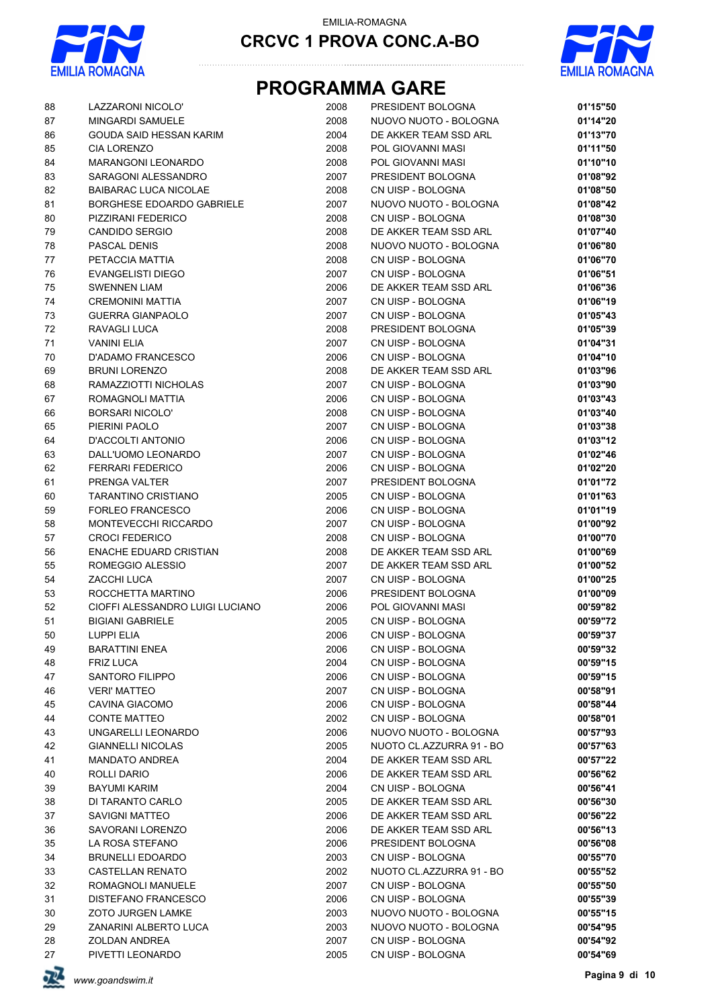



# **PROGRAMMA GARE**

| 88     | LAZZARONI NICOLO'               | 2008 | PRESIDENT BOLOGNA        | 01'15"50 |
|--------|---------------------------------|------|--------------------------|----------|
| 87     | MINGARDI SAMUELE                | 2008 | NUOVO NUOTO - BOLOGNA    | 01'14"20 |
| 86     | GOUDA SAID HESSAN KARIM         | 2004 | DE AKKER TEAM SSD ARL    | 01'13"70 |
| 85     | <b>CIA LORENZO</b>              | 2008 | POL GIOVANNI MASI        | 01'11"50 |
| 84     | <b>MARANGONI LEONARDO</b>       | 2008 | POL GIOVANNI MASI        | 01'10"10 |
| 83     | SARAGONI ALESSANDRO             | 2007 | PRESIDENT BOLOGNA        | 01'08"92 |
| 82     | <b>BAIBARAC LUCA NICOLAE</b>    | 2008 | CN UISP - BOLOGNA        | 01'08"50 |
| 81     | BORGHESE EDOARDO GABRIELE       | 2007 | NUOVO NUOTO - BOLOGNA    | 01'08"42 |
| 80     | PIZZIRANI FEDERICO              | 2008 | CN UISP - BOLOGNA        | 01'08"30 |
| 79     | CANDIDO SERGIO                  | 2008 | DE AKKER TEAM SSD ARL    | 01'07"40 |
| 78     | PASCAL DENIS                    | 2008 | NUOVO NUOTO - BOLOGNA    | 01'06"80 |
| 77     | PETACCIA MATTIA                 | 2008 | CN UISP - BOLOGNA        | 01'06"70 |
| 76     | EVANGELISTI DIEGO               | 2007 | CN UISP - BOLOGNA        | 01'06"51 |
| 75     | <b>SWENNEN LIAM</b>             | 2006 | DE AKKER TEAM SSD ARL    | 01'06"36 |
| 74     | <b>CREMONINI MATTIA</b>         | 2007 | CN UISP - BOLOGNA        | 01'06"19 |
| 73     | <b>GUERRA GIANPAOLO</b>         | 2007 | CN UISP - BOLOGNA        | 01'05"43 |
| $72\,$ | RAVAGLI LUCA                    | 2008 | PRESIDENT BOLOGNA        | 01'05"39 |
| 71     | <b>VANINI ELIA</b>              | 2007 | CN UISP - BOLOGNA        | 01'04"31 |
| $70\,$ | D'ADAMO FRANCESCO               | 2006 | CN UISP - BOLOGNA        | 01'04"10 |
| 69     | <b>BRUNI LORENZO</b>            | 2008 | DE AKKER TEAM SSD ARL    | 01'03"96 |
| 68     | RAMAZZIOTTI NICHOLAS            | 2007 | CN UISP - BOLOGNA        | 01'03"90 |
|        | ROMAGNOLI MATTIA                |      | CN UISP - BOLOGNA        | 01'03"43 |
| 67     |                                 | 2006 |                          |          |
| 66     | <b>BORSARI NICOLO'</b>          | 2008 | CN UISP - BOLOGNA        | 01'03"40 |
| 65     | PIERINI PAOLO                   | 2007 | CN UISP - BOLOGNA        | 01'03"38 |
| 64     | D'ACCOLTI ANTONIO               | 2006 | CN UISP - BOLOGNA        | 01'03"12 |
| 63     | DALL'UOMO LEONARDO              | 2007 | CN UISP - BOLOGNA        | 01'02"46 |
| 62     | <b>FERRARI FEDERICO</b>         | 2006 | CN UISP - BOLOGNA        | 01'02"20 |
| 61     | PRENGA VALTER                   | 2007 | PRESIDENT BOLOGNA        | 01'01"72 |
| 60     | TARANTINO CRISTIANO             | 2005 | CN UISP - BOLOGNA        | 01'01"63 |
| 59     | <b>FORLEO FRANCESCO</b>         | 2006 | CN UISP - BOLOGNA        | 01'01"19 |
| 58     | MONTEVECCHI RICCARDO            | 2007 | CN UISP - BOLOGNA        | 01'00"92 |
| 57     | <b>CROCI FEDERICO</b>           | 2008 | CN UISP - BOLOGNA        | 01'00"70 |
| 56     | <b>ENACHE EDUARD CRISTIAN</b>   | 2008 | DE AKKER TEAM SSD ARL    | 01'00"69 |
| 55     | ROMEGGIO ALESSIO                | 2007 | DE AKKER TEAM SSD ARL    | 01'00"52 |
| 54     | ZACCHI LUCA                     | 2007 | CN UISP - BOLOGNA        | 01'00"25 |
| 53     | ROCCHETTA MARTINO               | 2006 | PRESIDENT BOLOGNA        | 01'00"09 |
| 52     | CIOFFI ALESSANDRO LUIGI LUCIANO | 2006 | POL GIOVANNI MASI        | 00'59"82 |
| 51     | <b>BIGIANI GABRIELE</b>         | 2005 | CN UISP - BOLOGNA        | 00'59"72 |
| 50     | LUPPI ELIA                      | 2006 | CN UISP - BOLOGNA        | 00'59"37 |
| 49     | <b>BARATTINI ENEA</b>           | 2006 | CN UISP - BOLOGNA        | 00'59"32 |
| 48     | <b>FRIZ LUCA</b>                | 2004 | CN UISP - BOLOGNA        | 00'59"15 |
| 47     | <b>SANTORO FILIPPO</b>          | 2006 | CN UISP - BOLOGNA        | 00'59"15 |
| 46     | <b>VERI' MATTEO</b>             | 2007 | CN UISP - BOLOGNA        | 00'58"91 |
| 45     | CAVINA GIACOMO                  | 2006 | CN UISP - BOLOGNA        | 00'58"44 |
| 44     | <b>CONTE MATTEO</b>             | 2002 | CN UISP - BOLOGNA        | 00'58"01 |
| 43     | UNGARELLI LEONARDO              | 2006 | NUOVO NUOTO - BOLOGNA    | 00'57"93 |
| 42     | <b>GIANNELLI NICOLAS</b>        | 2005 | NUOTO CL.AZZURRA 91 - BO | 00'57"63 |
| 41     | <b>MANDATO ANDREA</b>           | 2004 | DE AKKER TEAM SSD ARL    | 00'57"22 |
| 40     | ROLLI DARIO                     | 2006 | DE AKKER TEAM SSD ARL    | 00'56"62 |
| 39     | <b>BAYUMI KARIM</b>             | 2004 | CN UISP - BOLOGNA        | 00'56"41 |
| 38     | DI TARANTO CARLO                | 2005 | DE AKKER TEAM SSD ARL    | 00'56"30 |
| 37     | <b>SAVIGNI MATTEO</b>           | 2006 | DE AKKER TEAM SSD ARL    | 00'56"22 |
| 36     | SAVORANI LORENZO                | 2006 | DE AKKER TEAM SSD ARL    | 00'56"13 |
|        |                                 |      |                          |          |
| 35     | LA ROSA STEFANO                 | 2006 | PRESIDENT BOLOGNA        | 00'56"08 |
| 34     | <b>BRUNELLI EDOARDO</b>         | 2003 | CN UISP - BOLOGNA        | 00'55"70 |
| 33     | <b>CASTELLAN RENATO</b>         | 2002 | NUOTO CL.AZZURRA 91 - BO | 00'55"52 |
| 32     | ROMAGNOLI MANUELE               | 2007 | CN UISP - BOLOGNA        | 00'55"50 |
| 31     | DISTEFANO FRANCESCO             | 2006 | CN UISP - BOLOGNA        | 00'55"39 |
| 30     | <b>ZOTO JURGEN LAMKE</b>        | 2003 | NUOVO NUOTO - BOLOGNA    | 00'55"15 |
| 29     | ZANARINI ALBERTO LUCA           | 2003 | NUOVO NUOTO - BOLOGNA    | 00'54"95 |
| 28     | ZOLDAN ANDREA                   | 2007 | CN UISP - BOLOGNA        | 00'54"92 |
| 27     | PIVETTI LEONARDO                | 2005 | CN UISP - BOLOGNA        | 00'54"69 |